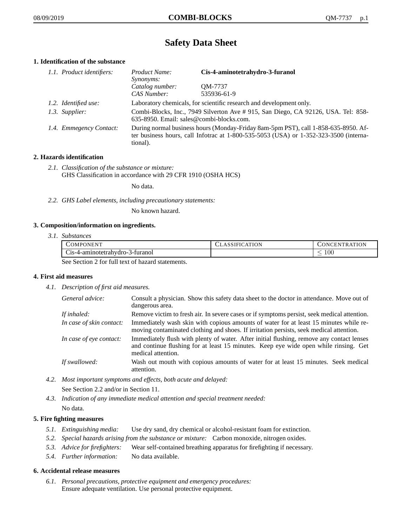# **Safety Data Sheet**

# **1. Identification of the substance**

| 1.1. Product identifiers: | Product Name:<br><i>Synonyms:</i>                                                                                                                                                           | Cis-4-aminotetrahydro-3-furanol |
|---------------------------|---------------------------------------------------------------------------------------------------------------------------------------------------------------------------------------------|---------------------------------|
|                           | Catalog number:<br>CAS Number:                                                                                                                                                              | QM-7737<br>535936-61-9          |
| 1.2. Identified use:      | Laboratory chemicals, for scientific research and development only.                                                                                                                         |                                 |
| 1.3. Supplier:            | Combi-Blocks, Inc., 7949 Silverton Ave # 915, San Diego, CA 92126, USA. Tel: 858-<br>635-8950. Email: sales@combi-blocks.com.                                                               |                                 |
| 1.4. Emmegency Contact:   | During normal business hours (Monday-Friday 8am-5pm PST), call 1-858-635-8950. Af-<br>ter business hours, call Infotrac at $1-800-535-5053$ (USA) or $1-352-323-3500$ (interna-<br>tional). |                                 |

# **2. Hazards identification**

*2.1. Classification of the substance or mixture:* GHS Classification in accordance with 29 CFR 1910 (OSHA HCS)

No data.

*2.2. GHS Label elements, including precautionary statements:*

No known hazard.

# **3. Composition/information on ingredients.**

*3.1. Substances*

| COMPONENT                                                                                                                                                                                     | CLASSIFICATION | <b>CONCENTRATION</b> |
|-----------------------------------------------------------------------------------------------------------------------------------------------------------------------------------------------|----------------|----------------------|
| Cis-4-aminotetrahydro-3-furanol                                                                                                                                                               |                | 100                  |
| $\alpha_{12}$ , $\alpha_{21}$ , $\alpha_{32}$ , $\alpha_{41}$ , $\alpha_{51}$ , $\alpha_{61}$ , $\alpha_{71}$ , $\alpha_{81}$ , $\alpha_{10}$ , $\alpha_{11}$ , $\alpha_{12}$ , $\alpha_{13}$ |                |                      |

See Section 2 for full text of hazard statements.

# **4. First aid measures**

*4.1. Description of first aid measures.*

| General advice:          | Consult a physician. Show this safety data sheet to the doctor in attendance. Move out of<br>dangerous area.                                                                                            |
|--------------------------|---------------------------------------------------------------------------------------------------------------------------------------------------------------------------------------------------------|
| If inhaled:              | Remove victim to fresh air. In severe cases or if symptoms persist, seek medical attention.                                                                                                             |
| In case of skin contact: | Immediately wash skin with copious amounts of water for at least 15 minutes while re-<br>moving contaminated clothing and shoes. If irritation persists, seek medical attention.                        |
| In case of eye contact:  | Immediately flush with plenty of water. After initial flushing, remove any contact lenses<br>and continue flushing for at least 15 minutes. Keep eye wide open while rinsing. Get<br>medical attention. |
| If swallowed:            | Wash out mouth with copious amounts of water for at least 15 minutes. Seek medical<br>attention.                                                                                                        |

*4.2. Most important symptoms and effects, both acute and delayed:*

See Section 2.2 and/or in Section 11.

*4.3. Indication of any immediate medical attention and special treatment needed:* No data.

# **5. Fire fighting measures**

- *5.1. Extinguishing media:* Use dry sand, dry chemical or alcohol-resistant foam for extinction.
- *5.2. Special hazards arising from the substance or mixture:* Carbon monoxide, nitrogen oxides.
- *5.3. Advice for firefighters:* Wear self-contained breathing apparatus for firefighting if necessary.
- *5.4. Further information:* No data available.

# **6. Accidental release measures**

*6.1. Personal precautions, protective equipment and emergency procedures:* Ensure adequate ventilation. Use personal protective equipment.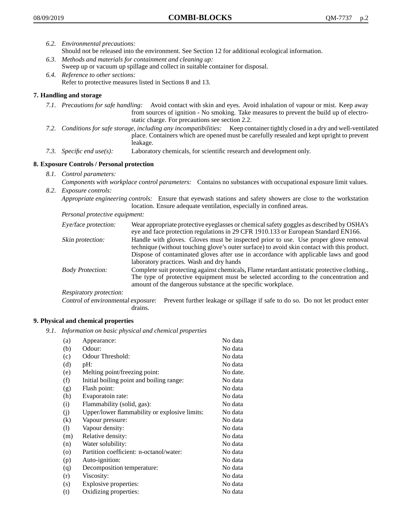- *6.2. Environmental precautions:* Should not be released into the environment. See Section 12 for additional ecological information.
- *6.3. Methods and materials for containment and cleaning up:* Sweep up or vacuum up spillage and collect in suitable container for disposal.
- *6.4. Reference to other sections:* Refer to protective measures listed in Sections 8 and 13.

# **7. Handling and storage**

- *7.1. Precautions for safe handling:* Avoid contact with skin and eyes. Avoid inhalation of vapour or mist. Keep away from sources of ignition - No smoking. Take measures to prevent the build up of electrostatic charge. For precautions see section 2.2.
- *7.2. Conditions for safe storage, including any incompatibilities:* Keep container tightly closed in a dry and well-ventilated place. Containers which are opened must be carefully resealed and kept upright to prevent leakage.
- *7.3. Specific end use(s):* Laboratory chemicals, for scientific research and development only.

# **8. Exposure Controls / Personal protection**

- *8.1. Control parameters:*
- *Components with workplace control parameters:* Contains no substances with occupational exposure limit values. *8.2. Exposure controls:*

*Appropriate engineering controls:* Ensure that eyewash stations and safety showers are close to the workstation location. Ensure adequate ventilation, especially in confined areas.

*Personal protective equipment:*

| Eye/face protection:    | Wear appropriate protective eyeglasses or chemical safety goggles as described by OSHA's<br>eye and face protection regulations in 29 CFR 1910.133 or European Standard EN166.                                                                                                                                         |
|-------------------------|------------------------------------------------------------------------------------------------------------------------------------------------------------------------------------------------------------------------------------------------------------------------------------------------------------------------|
| Skin protection:        | Handle with gloves. Gloves must be inspected prior to use. Use proper glove removal<br>technique (without touching glove's outer surface) to avoid skin contact with this product.<br>Dispose of contaminated gloves after use in accordance with applicable laws and good<br>laboratory practices. Wash and dry hands |
| <b>Body Protection:</b> | Complete suit protecting against chemicals, Flame retardant antistatic protective clothing.,<br>The type of protective equipment must be selected according to the concentration and<br>amount of the dangerous substance at the specific workplace.                                                                   |
| Respiratory protection: |                                                                                                                                                                                                                                                                                                                        |

Control of environmental exposure: Prevent further leakage or spillage if safe to do so. Do not let product enter drains.

# **9. Physical and chemical properties**

*9.1. Information on basic physical and chemical properties*

| (a)                          | Appearance:                                   | No data  |
|------------------------------|-----------------------------------------------|----------|
| (b)                          | Odour:                                        | No data  |
| (c)                          | Odour Threshold:                              | No data  |
| (d)                          | pH:                                           | No data  |
| (e)                          | Melting point/freezing point:                 | No date. |
| (f)                          | Initial boiling point and boiling range:      | No data  |
| (g)                          | Flash point:                                  | No data  |
| (h)                          | Evaporatoin rate:                             | No data  |
| (i)                          | Flammability (solid, gas):                    | No data  |
| (j)                          | Upper/lower flammability or explosive limits: | No data  |
| $\rm(k)$                     | Vapour pressure:                              | No data  |
| $\left( \frac{1}{2} \right)$ | Vapour density:                               | No data  |
| (m)                          | Relative density:                             | No data  |
| (n)                          | Water solubility:                             | No data  |
| $\circ$                      | Partition coefficient: n-octanol/water:       | No data  |
| (p)                          | Auto-ignition:                                | No data  |
| (q)                          | Decomposition temperature:                    | No data  |
| (r)                          | Viscosity:                                    | No data  |
| (s)                          | Explosive properties:                         | No data  |
| (t)                          | Oxidizing properties:                         | No data  |